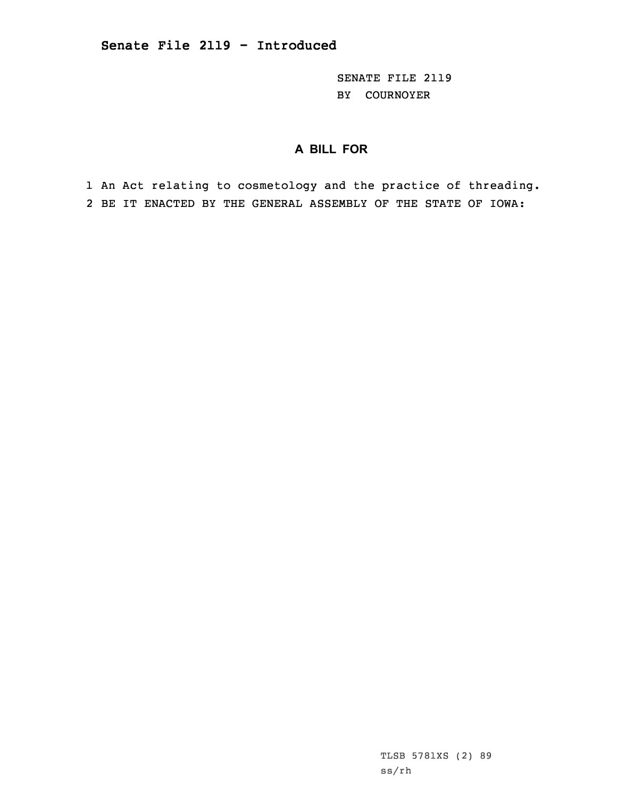SENATE FILE 2119 BY COURNOYER

## **A BILL FOR**

1 An Act relating to cosmetology and the practice of threading. 2 BE IT ENACTED BY THE GENERAL ASSEMBLY OF THE STATE OF IOWA: